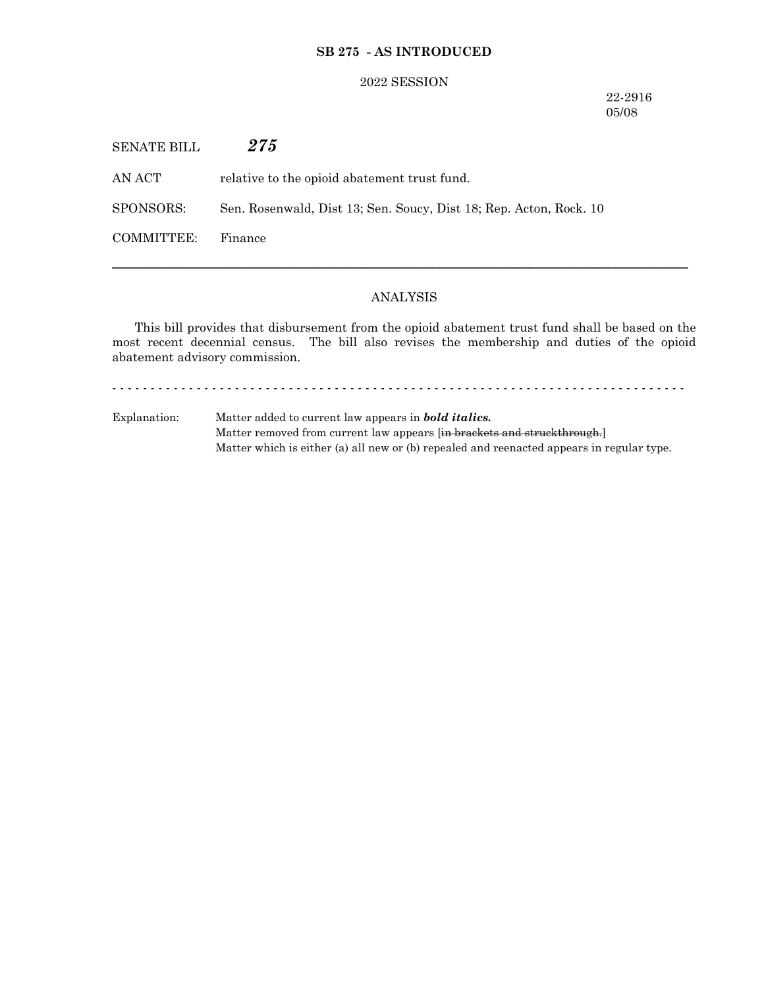## **SB 275 - AS INTRODUCED**

#### 2022 SESSION

22-2916 05/08

SENATE BILL *275*

AN ACT relative to the opioid abatement trust fund.

SPONSORS: Sen. Rosenwald, Dist 13; Sen. Soucy, Dist 18; Rep. Acton, Rock. 10

COMMITTEE: Finance

# ANALYSIS

─────────────────────────────────────────────────────────────────

This bill provides that disbursement from the opioid abatement trust fund shall be based on the most recent decennial census. The bill also revises the membership and duties of the opioid abatement advisory commission.

- - - - - - - - - - - - - - - - - - - - - - - - - - - - - - - - - - - - - - - - - - - - - - - - - - - - - - - - - - - - - - - - - - - - - - - - - - -

Explanation: Matter added to current law appears in *bold italics.* Matter removed from current law appears [in brackets and struckthrough.] Matter which is either (a) all new or (b) repealed and reenacted appears in regular type.